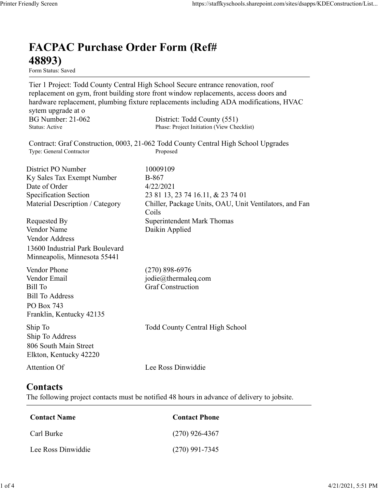## FACPAC Purchase Order Form (Ref# 48893) Form Status: Saved Tier 1 Project: Todd County Central High School Secure entrance renovation, roof replacement on gym, front building store front window replacements, access doors and hardware replacement, plumbing fixture replacements including ADA modifications, HVAC sytem upgrade at o https://staffkyschools.sharepoint.com/sites/dsapps/KDEConstructic<br> **FACPAC Purchase Order Form (Ref#**<br> **EFACPAC Purchase Order Form (Ref#**<br>
Tier 1 Project: Todd County Central High School Secure entrance renovation, roof<br> https://staffkyschools.sharepoint.com/sites/dsapps/KDEConstructic<br> **FACPAC Purchase Order Form (Ref#**<br>
Form States: Saved<br>
Form Status: Saved<br>
Tier 1 Project: Todd County Central High School Secure entrance renovation, roo Contract: Graf Construction, 0003, 21-062 Todd County Central High School Upgrades https://staffkyschools.sharepoint.com/sites/dsarps/KDFConstructic<br> **FACPAC Purchase Order Form (Ref#**<br>
Form Status: Saved<br>
Form Status: Saved<br>
Ter 1 Project: Todd County Central High School Secure entrance renovation, roof **FACPAC Purchase Order Form (Ref#**<br> **48893)**<br> **Form Status:** Saved<br> **First 1** Project: Todd County Central High School Sceure entrance renovation, roof<br>
replacement on gym, front building store front window replacements, **FACPAC Purchase Order Form (Ref#**<br> **48893)**<br>
Form Stans:<br>
Form Stans:<br>
Templexented County Central High School Secure entrance renovation, roof<br>
Teplexement on gym, front building store front window replacements, access **FACPAC Purchase Order Form (Ref#**<br> **48893)**<br>
Form Status: Saved<br>
Tier 1 Project: Todd County Central High School Secure entrance renovation, roof<br>
replacement on gym, front building store front window replacements, acces FACPAC Purchase Order Form (Ref#<br>
48893)<br>
Form Status: Saved<br>
Tier 1 Project: Todd County Central High School Sceure entrance renovation, roof<br>
replacement on gym, front building store front window replacements, access doo **FACPAC Purchase Order Form (Ref#**<br>  $48893$ )<br>
For 1 Project: Todd County Central High School Sceure entrance renovation, roof<br>
replacement on gym, front building store front window replacements, access doors and<br>
hardware Coils **From States:**<br> **From States:**<br> **From States:**<br> **From States:**<br> **From States:**<br> **From States:**<br> **Replacement on gym, from building store from twindow replacements, access doors and<br>
<b>Proparement, plumbing fixture replaceme** Form Status: Saved<br>
Ter 1 Project: Todd County Central High School Secure entrance renovation, roof<br>
Teplacement on gym, front building store front window replacements, access doors and<br>
hardware replacement, plumbing fixt Vendor Address 13600 Industrial Park Boulevard Minneapolis, Minnesota 55441 sytem upgrade at o<br>
BG Number: 21-062 District: Todd County (551)<br>
Status: Active Phase: Project Initiation (View Checklist)<br>
Status: Active Phone Phone Phone (Section 1903, 21-062 Todd County Central High School Upgrades<br> BG Number: 21-062<br>
Bartic Hotel County (National Phase: Project Indiation (View Checklist)<br>
Status: Active<br>
Contract: Graf Construction, 0003, 21-062 Todd County Central High School Upgrades<br>
Type: General Contractor<br>
Dist Status: Active<br>
Contract: Graf Construction, 0003, 21-062 Todd County Central High School Upgrades<br>
Type: General Contractor<br>
Propes: General Contractor<br>
Bisitict PO Number<br>
Ex Sales Tax Exempt Number<br>
Specification Sectio Bill To Address PO Box 743 Franklin, Kentucky 42135 District PO Number<br>
District PO Number<br>
Exy Sales Tax Exempt Number<br>
Specification Section<br>
21867<br>
Material Description / Category<br>
Material Description / Category<br>
Chiller, Package Units, OAU, Unit Ventilators, and Fan<br>
R Ship To Address 806 South Main Street Elkton, Kentucky 42220 Requested By<br>
Coils<br>
Vendor Name<br>
Vendor Address<br>
Vendor Address<br>
13600 Industrial Park Boulevard<br>
Minneapolis, Minnesota 55441<br>
Mondor Phone<br>
(270) 898-6976<br>
Vendor Phone<br>
(270) 898-6976<br>
Vendor Phone<br>
(270) 898-6976<br>
Ven muneapolis, sinuseous J9441<br>
Condor Phone<br>
Contact Phone<br>
Edil To<br>
Edil To<br>
Contact Sill To<br>
Contact Construction<br>
Contact Phone<br>
Contact Name<br>
Contact S<br>
Contact S<br>
Are following project contacts must be notified 48 hours Conder Email<br>
iil To Address<br>
iil To Address<br>
CO Box 743<br>
CO Box 743<br>
In Fo Construction<br>
In Fo Construction<br>
In Fo Constanting School<br>
Map School<br>
Map School<br>
Map School<br>
Constant Mame<br>
Constant School<br>
Contact Server Con Example 12<br>
Co Box 743<br>
Tranklin, Kentucky 42135<br>
tin To Address<br>
tranklin, Kentucky 42135<br>
hip To Todd County Central High School<br>
Michael Stranklin, Strucky 42220<br>
Lee Ross Dinwiddie<br> **Contact Strange Contact Phone**<br>
Con Printer Friendly Screen https://staffkyschools.sharepoint.com/sites/dsapps/KDEConstruction/List...<br>
FLACEA CHACEA CHACEA CHACEA CHACEA CHACEA CHACEA CHACEA CHACEA CHACEA CHACEA CHACEA CHACEA CHACEA CHACEA CHACEA CHACEA CHA

## **Contacts**

The following project contacts must be notified 48 hours in advance of delivery to jobsite.

| <b>Contact Name</b> | <b>Contact Phone</b> |
|---------------------|----------------------|
| Carl Burke          | $(270)$ 926-4367     |
| Lee Ross Dinwiddie  | $(270)$ 991-7345     |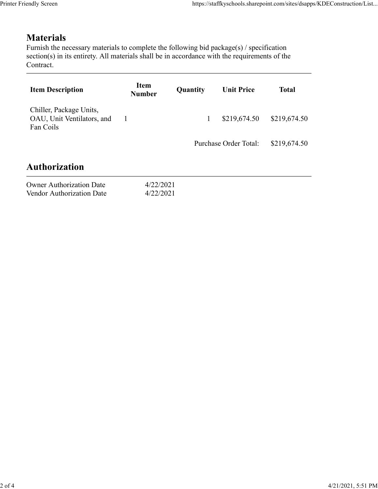## **Materials**

| endly Screen                                                                                                                                                                                                               |                        |              | https://staffkyschools.sharepoint.com/sites/dsapps/KDEConstruction/List |              |
|----------------------------------------------------------------------------------------------------------------------------------------------------------------------------------------------------------------------------|------------------------|--------------|-------------------------------------------------------------------------|--------------|
| <b>Materials</b><br>Furnish the necessary materials to complete the following bid package(s) / specification<br>section(s) in its entirety. All materials shall be in accordance with the requirements of the<br>Contract. |                        |              |                                                                         |              |
| <b>Item Description</b>                                                                                                                                                                                                    | Item<br><b>Number</b>  | Quantity     | <b>Unit Price</b>                                                       | <b>Total</b> |
| Chiller, Package Units,<br>OAU, Unit Ventilators, and<br>Fan Coils                                                                                                                                                         | $\mathbf{1}$           | $\mathbf{1}$ | \$219,674.50                                                            | \$219,674.50 |
|                                                                                                                                                                                                                            |                        |              | Purchase Order Total:                                                   | \$219,674.50 |
| <b>Authorization</b>                                                                                                                                                                                                       |                        |              |                                                                         |              |
| <b>Owner Authorization Date</b><br>Vendor Authorization Date                                                                                                                                                               | 4/22/2021<br>4/22/2021 |              |                                                                         |              |
|                                                                                                                                                                                                                            |                        |              |                                                                         |              |

## Authorization

| <b>Owner Authorization Date</b> | 4/22/2021 |
|---------------------------------|-----------|
| Vendor Authorization Date       | 4/22/2021 |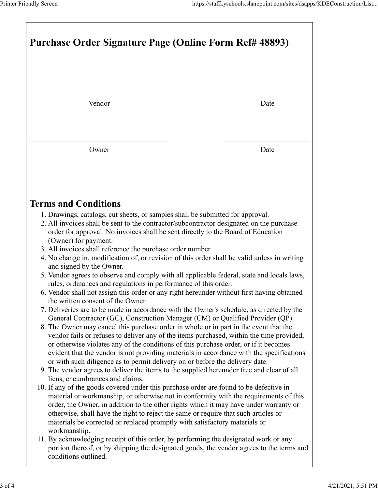| Printer Friendly Screen                                                                                                                                                          | https://staffkyschools.sharepoint.com/sites/dsapps/KDEConstruction/List |
|----------------------------------------------------------------------------------------------------------------------------------------------------------------------------------|-------------------------------------------------------------------------|
|                                                                                                                                                                                  |                                                                         |
|                                                                                                                                                                                  |                                                                         |
| Purchase Order Signature Page (Online Form Ref# 48893)                                                                                                                           |                                                                         |
|                                                                                                                                                                                  |                                                                         |
|                                                                                                                                                                                  |                                                                         |
| Vendor                                                                                                                                                                           | Date                                                                    |
|                                                                                                                                                                                  |                                                                         |
| Owner                                                                                                                                                                            | Date                                                                    |
|                                                                                                                                                                                  |                                                                         |
|                                                                                                                                                                                  |                                                                         |
| <b>Terms and Conditions</b><br>1. Drawings, catalogs, cut sheets, or samples shall be submitted for approval.                                                                    |                                                                         |
| 2. All invoices shall be sent to the contractor/subcontractor designated on the purchase<br>order for approval. No invoices shall be sent directly to the Board of Education     |                                                                         |
| (Owner) for payment.<br>3. All invoices shall reference the purchase order number.                                                                                               |                                                                         |
| 4. No change in, modification of, or revision of this order shall be valid unless in writing<br>and signed by the Owner.                                                         |                                                                         |
| 5. Vendor agrees to observe and comply with all applicable federal, state and locals laws,<br>rules, ordinances and regulations in performance of this order.                    |                                                                         |
| 6. Vendor shall not assign this order or any right hereunder without first having obtained<br>the written consent of the Owner.                                                  |                                                                         |
| 7. Deliveries are to be made in accordance with the Owner's schedule, as directed by the                                                                                         |                                                                         |
| General Contractor (GC), Construction Manager (CM) or Qualified Provider (QP).<br>8. The Owner may cancel this purchase order in whole or in part in the event that the          |                                                                         |
| vendor fails or refuses to deliver any of the items purchased, within the time provided,<br>or otherwise violates any of the conditions of this purchase order, or if it becomes |                                                                         |
| evident that the vendor is not providing materials in accordance with the specifications                                                                                         |                                                                         |
| or with such diligence as to permit delivery on or before the delivery date.<br>9. The vendor agrees to deliver the items to the supplied hereunder free and clear of all        |                                                                         |
| liens, encumbrances and claims.                                                                                                                                                  |                                                                         |
| 10. If any of the goods covered under this purchase order are found to be defective in<br>material or workmanship, or otherwise not in conformity with the requirements of this  |                                                                         |
| order, the Owner, in addition to the other rights which it may have under warranty or<br>otherwise, shall have the right to reject the same or require that such articles or     |                                                                         |
| materials be corrected or replaced promptly with satisfactory materials or                                                                                                       |                                                                         |
| workmanship.                                                                                                                                                                     |                                                                         |
| 11. By acknowledging receipt of this order, by performing the designated work or any<br>portion thereof, or by shipping the designated goods, the vendor agrees to the terms and |                                                                         |